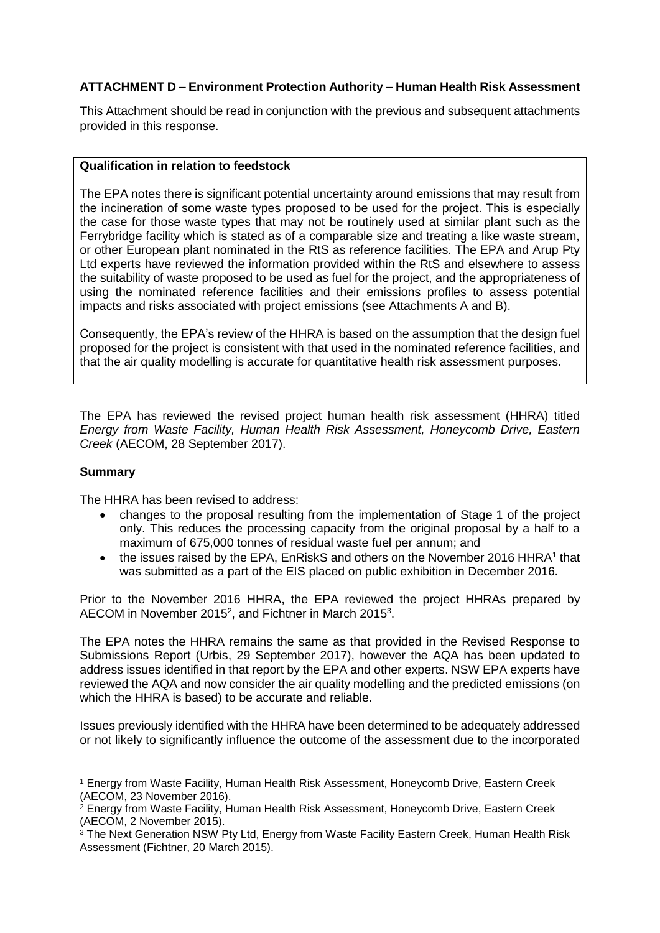# **ATTACHMENT D – Environment Protection Authority – Human Health Risk Assessment**

This Attachment should be read in conjunction with the previous and subsequent attachments provided in this response.

### **Qualification in relation to feedstock**

The EPA notes there is significant potential uncertainty around emissions that may result from the incineration of some waste types proposed to be used for the project. This is especially the case for those waste types that may not be routinely used at similar plant such as the Ferrybridge facility which is stated as of a comparable size and treating a like waste stream, or other European plant nominated in the RtS as reference facilities. The EPA and Arup Pty Ltd experts have reviewed the information provided within the RtS and elsewhere to assess the suitability of waste proposed to be used as fuel for the project, and the appropriateness of using the nominated reference facilities and their emissions profiles to assess potential impacts and risks associated with project emissions (see Attachments A and B).

Consequently, the EPA's review of the HHRA is based on the assumption that the design fuel proposed for the project is consistent with that used in the nominated reference facilities, and that the air quality modelling is accurate for quantitative health risk assessment purposes.

The EPA has reviewed the revised project human health risk assessment (HHRA) titled *Energy from Waste Facility, Human Health Risk Assessment, Honeycomb Drive, Eastern Creek* (AECOM, 28 September 2017).

## **Summary**

**.** 

The HHRA has been revised to address:

- changes to the proposal resulting from the implementation of Stage 1 of the project only. This reduces the processing capacity from the original proposal by a half to a maximum of 675,000 tonnes of residual waste fuel per annum; and
- $\bullet$  the issues raised by the EPA, EnRiskS and others on the November 2016 HHRA<sup>1</sup> that was submitted as a part of the EIS placed on public exhibition in December 2016.

Prior to the November 2016 HHRA, the EPA reviewed the project HHRAs prepared by AECOM in November 2015<sup>2</sup>, and Fichtner in March 2015<sup>3</sup>.

The EPA notes the HHRA remains the same as that provided in the Revised Response to Submissions Report (Urbis, 29 September 2017), however the AQA has been updated to address issues identified in that report by the EPA and other experts. NSW EPA experts have reviewed the AQA and now consider the air quality modelling and the predicted emissions (on which the HHRA is based) to be accurate and reliable.

Issues previously identified with the HHRA have been determined to be adequately addressed or not likely to significantly influence the outcome of the assessment due to the incorporated

<sup>1</sup> Energy from Waste Facility, Human Health Risk Assessment, Honeycomb Drive, Eastern Creek (AECOM, 23 November 2016).

 $2$  Energy from Waste Facility, Human Health Risk Assessment, Honeycomb Drive, Eastern Creek (AECOM, 2 November 2015).

<sup>&</sup>lt;sup>3</sup> The Next Generation NSW Pty Ltd, Energy from Waste Facility Eastern Creek, Human Health Risk Assessment (Fichtner, 20 March 2015).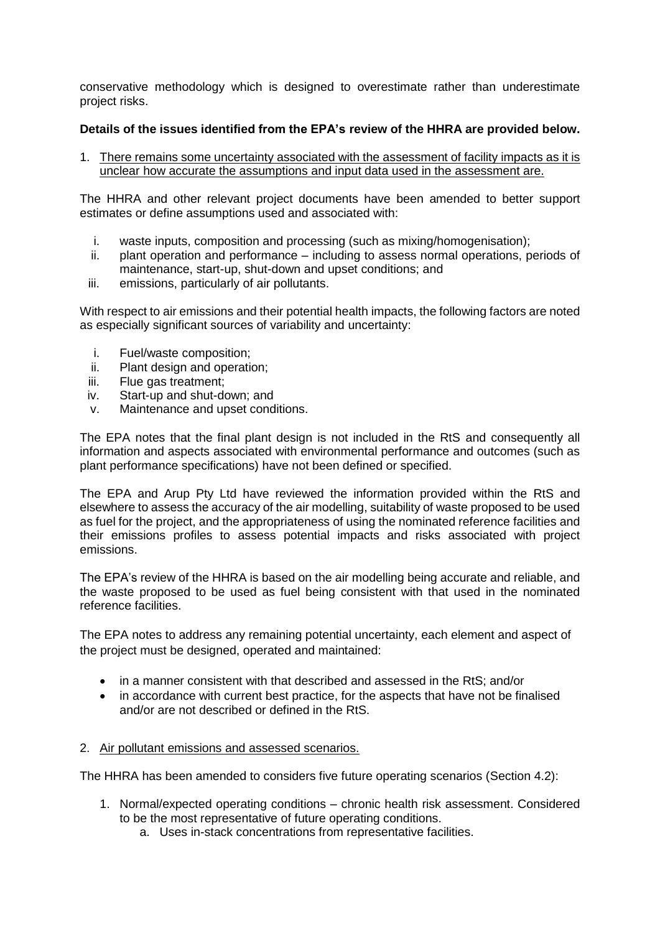conservative methodology which is designed to overestimate rather than underestimate project risks.

# **Details of the issues identified from the EPA's review of the HHRA are provided below.**

1. There remains some uncertainty associated with the assessment of facility impacts as it is unclear how accurate the assumptions and input data used in the assessment are.

The HHRA and other relevant project documents have been amended to better support estimates or define assumptions used and associated with:

- i. waste inputs, composition and processing (such as mixing/homogenisation);
- ii. plant operation and performance including to assess normal operations, periods of maintenance, start-up, shut-down and upset conditions; and
- iii. emissions, particularly of air pollutants.

With respect to air emissions and their potential health impacts, the following factors are noted as especially significant sources of variability and uncertainty:

- i. Fuel/waste composition;
- ii. Plant design and operation;
- iii. Flue gas treatment;
- iv. Start-up and shut-down; and
- v. Maintenance and upset conditions.

The EPA notes that the final plant design is not included in the RtS and consequently all information and aspects associated with environmental performance and outcomes (such as plant performance specifications) have not been defined or specified.

The EPA and Arup Pty Ltd have reviewed the information provided within the RtS and elsewhere to assess the accuracy of the air modelling, suitability of waste proposed to be used as fuel for the project, and the appropriateness of using the nominated reference facilities and their emissions profiles to assess potential impacts and risks associated with project emissions.

The EPA's review of the HHRA is based on the air modelling being accurate and reliable, and the waste proposed to be used as fuel being consistent with that used in the nominated reference facilities.

The EPA notes to address any remaining potential uncertainty, each element and aspect of the project must be designed, operated and maintained:

- in a manner consistent with that described and assessed in the RtS; and/or
- in accordance with current best practice, for the aspects that have not be finalised and/or are not described or defined in the RtS.

## 2. Air pollutant emissions and assessed scenarios.

The HHRA has been amended to considers five future operating scenarios (Section 4.2):

- 1. Normal/expected operating conditions chronic health risk assessment. Considered to be the most representative of future operating conditions.
	- a. Uses in-stack concentrations from representative facilities.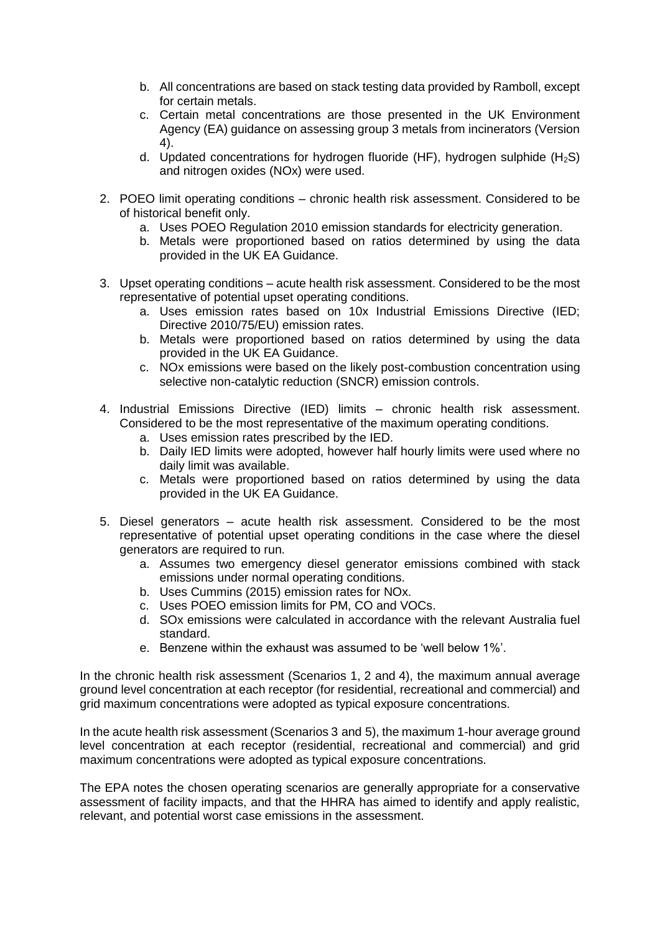- b. All concentrations are based on stack testing data provided by Ramboll, except for certain metals.
- c. Certain metal concentrations are those presented in the UK Environment Agency (EA) guidance on assessing group 3 metals from incinerators (Version 4).
- d. Updated concentrations for hydrogen fluoride (HF), hydrogen sulphide  $(H_2S)$ and nitrogen oxides (NOx) were used.
- 2. POEO limit operating conditions chronic health risk assessment. Considered to be of historical benefit only.
	- a. Uses POEO Regulation 2010 emission standards for electricity generation.
	- b. Metals were proportioned based on ratios determined by using the data provided in the UK EA Guidance.
- 3. Upset operating conditions acute health risk assessment. Considered to be the most representative of potential upset operating conditions.
	- a. Uses emission rates based on 10x Industrial Emissions Directive (IED; Directive 2010/75/EU) emission rates.
	- b. Metals were proportioned based on ratios determined by using the data provided in the UK EA Guidance.
	- c. NOx emissions were based on the likely post-combustion concentration using selective non-catalytic reduction (SNCR) emission controls.
- 4. Industrial Emissions Directive (IED) limits chronic health risk assessment. Considered to be the most representative of the maximum operating conditions.
	- a. Uses emission rates prescribed by the IED.
	- b. Daily IED limits were adopted, however half hourly limits were used where no daily limit was available.
	- c. Metals were proportioned based on ratios determined by using the data provided in the UK EA Guidance.
- 5. Diesel generators acute health risk assessment. Considered to be the most representative of potential upset operating conditions in the case where the diesel generators are required to run.
	- a. Assumes two emergency diesel generator emissions combined with stack emissions under normal operating conditions.
	- b. Uses Cummins (2015) emission rates for NOx.
	- c. Uses POEO emission limits for PM, CO and VOCs.
	- d. SOx emissions were calculated in accordance with the relevant Australia fuel standard.
	- e. Benzene within the exhaust was assumed to be 'well below 1%'.

In the chronic health risk assessment (Scenarios 1, 2 and 4), the maximum annual average ground level concentration at each receptor (for residential, recreational and commercial) and grid maximum concentrations were adopted as typical exposure concentrations.

In the acute health risk assessment (Scenarios 3 and 5), the maximum 1-hour average ground level concentration at each receptor (residential, recreational and commercial) and grid maximum concentrations were adopted as typical exposure concentrations.

The EPA notes the chosen operating scenarios are generally appropriate for a conservative assessment of facility impacts, and that the HHRA has aimed to identify and apply realistic, relevant, and potential worst case emissions in the assessment.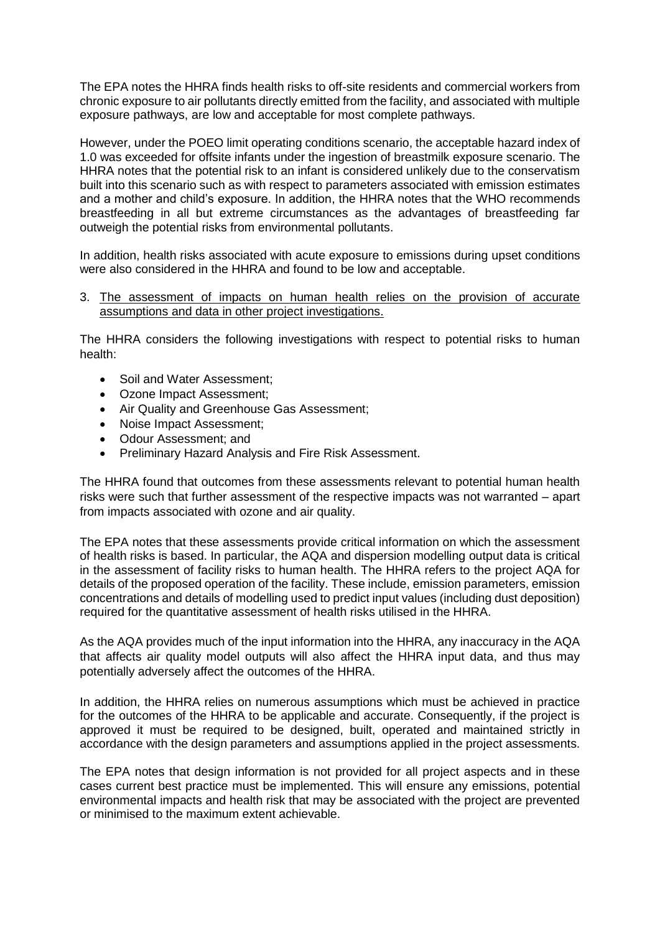The EPA notes the HHRA finds health risks to off-site residents and commercial workers from chronic exposure to air pollutants directly emitted from the facility, and associated with multiple exposure pathways, are low and acceptable for most complete pathways.

However, under the POEO limit operating conditions scenario, the acceptable hazard index of 1.0 was exceeded for offsite infants under the ingestion of breastmilk exposure scenario. The HHRA notes that the potential risk to an infant is considered unlikely due to the conservatism built into this scenario such as with respect to parameters associated with emission estimates and a mother and child's exposure. In addition, the HHRA notes that the WHO recommends breastfeeding in all but extreme circumstances as the advantages of breastfeeding far outweigh the potential risks from environmental pollutants.

In addition, health risks associated with acute exposure to emissions during upset conditions were also considered in the HHRA and found to be low and acceptable.

### 3. The assessment of impacts on human health relies on the provision of accurate assumptions and data in other project investigations.

The HHRA considers the following investigations with respect to potential risks to human health:

- Soil and Water Assessment:
- Ozone Impact Assessment;
- Air Quality and Greenhouse Gas Assessment;
- Noise Impact Assessment;
- Odour Assessment; and
- Preliminary Hazard Analysis and Fire Risk Assessment.

The HHRA found that outcomes from these assessments relevant to potential human health risks were such that further assessment of the respective impacts was not warranted – apart from impacts associated with ozone and air quality.

The EPA notes that these assessments provide critical information on which the assessment of health risks is based. In particular, the AQA and dispersion modelling output data is critical in the assessment of facility risks to human health. The HHRA refers to the project AQA for details of the proposed operation of the facility. These include, emission parameters, emission concentrations and details of modelling used to predict input values (including dust deposition) required for the quantitative assessment of health risks utilised in the HHRA.

As the AQA provides much of the input information into the HHRA, any inaccuracy in the AQA that affects air quality model outputs will also affect the HHRA input data, and thus may potentially adversely affect the outcomes of the HHRA.

In addition, the HHRA relies on numerous assumptions which must be achieved in practice for the outcomes of the HHRA to be applicable and accurate. Consequently, if the project is approved it must be required to be designed, built, operated and maintained strictly in accordance with the design parameters and assumptions applied in the project assessments.

The EPA notes that design information is not provided for all project aspects and in these cases current best practice must be implemented. This will ensure any emissions, potential environmental impacts and health risk that may be associated with the project are prevented or minimised to the maximum extent achievable.